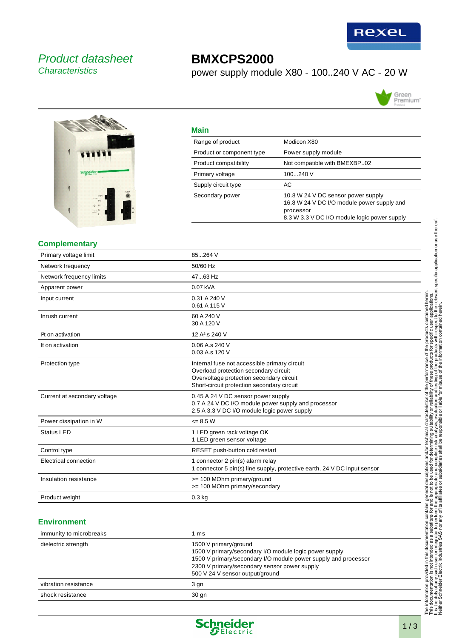

## Product datasheet **Characteristics**

# **BMXCPS2000**

power supply module X80 - 100..240 V AC - 20 W



 $\overline{\phantom{a}}$ 



| _____ |  |
|-------|--|
|       |  |

| Malli                     |                                                                                                                                               |
|---------------------------|-----------------------------------------------------------------------------------------------------------------------------------------------|
| Range of product          | Modicon X80                                                                                                                                   |
| Product or component type | Power supply module                                                                                                                           |
| Product compatibility     | Not compatible with BMEXBP02                                                                                                                  |
| Primary voltage           | 100240 V                                                                                                                                      |
| Supply circuit type       | АC                                                                                                                                            |
| Secondary power           | 10.8 W 24 V DC sensor power supply<br>16.8 W 24 V DC I/O module power supply and<br>processor<br>8.3 W 3.3 V DC I/O module logic power supply |

#### **Complementary**

| Primary voltage limit        | 85264 V                                                                                                                                                                         |  |
|------------------------------|---------------------------------------------------------------------------------------------------------------------------------------------------------------------------------|--|
| Network frequency            | 50/60 Hz                                                                                                                                                                        |  |
| Network frequency limits     | 4763 Hz                                                                                                                                                                         |  |
| Apparent power               | 0.07 kVA                                                                                                                                                                        |  |
| Input current                | 0.31 A 240 V<br>0.61 A 115 V                                                                                                                                                    |  |
| Inrush current               | 60 A 240 V<br>30 A 120 V                                                                                                                                                        |  |
| <sup>2</sup> t on activation | 12 A <sup>2</sup> .s 240 V                                                                                                                                                      |  |
| It on activation             | 0.06 A.s 240 V<br>0.03 A.s 120 V                                                                                                                                                |  |
| Protection type              | Internal fuse not accessible primary circuit<br>Overload protection secondary circuit<br>Overvoltage protection secondary circuit<br>Short-circuit protection secondary circuit |  |
| Current at secondary voltage | 0.45 A 24 V DC sensor power supply<br>0.7 A 24 V DC I/O module power supply and processor<br>2.5 A 3.3 V DC I/O module logic power supply                                       |  |
| Power dissipation in W       | $= 8.5 W$                                                                                                                                                                       |  |
| <b>Status LED</b>            | 1 LED green rack voltage OK<br>1 LED green sensor voltage                                                                                                                       |  |
| Control type                 | RESET push-button cold restart                                                                                                                                                  |  |
| Electrical connection        | 1 connector 2 pin(s) alarm relay<br>1 connector 5 pin(s) line supply, protective earth, 24 V DC input sensor                                                                    |  |
| Insulation resistance        | >= 100 MOhm primary/ground<br>>= 100 MOhm primary/secondary                                                                                                                     |  |
| Product weight               | $0.3$ kg                                                                                                                                                                        |  |

#### **Environment**

| immunity to microbreaks | ms                                                                                                                                                                                                                                   |
|-------------------------|--------------------------------------------------------------------------------------------------------------------------------------------------------------------------------------------------------------------------------------|
| dielectric strength     | 1500 V primary/ground<br>1500 V primary/secondary I/O module logic power supply<br>1500 V primary/secondary I/O module power supply and processor<br>2300 V primary/secondary sensor power supply<br>500 V 24 V sensor output/ground |
| vibration resistance    | 3 gn                                                                                                                                                                                                                                 |
| shock resistance        | 30 <sub>g</sub>                                                                                                                                                                                                                      |

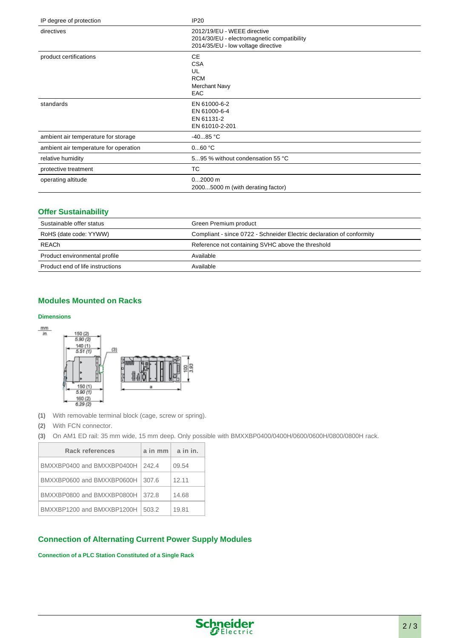| IP degree of protection               | IP20                                                                                                            |
|---------------------------------------|-----------------------------------------------------------------------------------------------------------------|
| directives                            | 2012/19/EU - WEEE directive<br>2014/30/EU - electromagnetic compatibility<br>2014/35/EU - low voltage directive |
| product certifications                | <b>CE</b><br><b>CSA</b><br>UL<br><b>RCM</b><br><b>Merchant Navy</b><br><b>EAC</b>                               |
| standards                             | EN 61000-6-2<br>EN 61000-6-4<br>EN 61131-2<br>EN 61010-2-201                                                    |
| ambient air temperature for storage   | $-4085 °C$                                                                                                      |
| ambient air temperature for operation | 060 °C                                                                                                          |
| relative humidity                     | 595 % without condensation 55 °C                                                                                |
| protective treatment                  | ТC                                                                                                              |
| operating altitude                    | $02000$ m<br>20005000 m (with derating factor)                                                                  |

### **Offer Sustainability**

| Sustainable offer status         | Green Premium product                                                 |
|----------------------------------|-----------------------------------------------------------------------|
| RoHS (date code: YYWW)           | Compliant - since 0722 - Schneider Electric declaration of conformity |
| <b>REACh</b>                     | Reference not containing SVHC above the threshold                     |
| Product environmental profile    | Available                                                             |
| Product end of life instructions | Available                                                             |

## **Modules Mounted on Racks**

#### **Dimensions**



**(1)** With removable terminal block (cage, screw or spring).

- **(2)** With FCN connector.
- **(3)** On AM1 ED rail: 35 mm wide, 15 mm deep. Only possible with BMXXBP0400/0400H/0600/0600H/0800/0800H rack.

| <b>Rack references</b>     | $a$ in mm $\vert$ a in in. |       |
|----------------------------|----------------------------|-------|
| BMXXBP0400 and BMXXBP0400H | 242.4                      | 09.54 |
| BMXXBP0600 and BMXXBP0600H | 307.6                      | 12.11 |
| BMXXBP0800 and BMXXBP0800H | 372.8                      | 14.68 |
| BMXXBP1200 and BMXXBP1200H | 503.2                      | 19.81 |

## **Connection of Alternating Current Power Supply Modules**

**Connection of a PLC Station Constituted of a Single Rack**